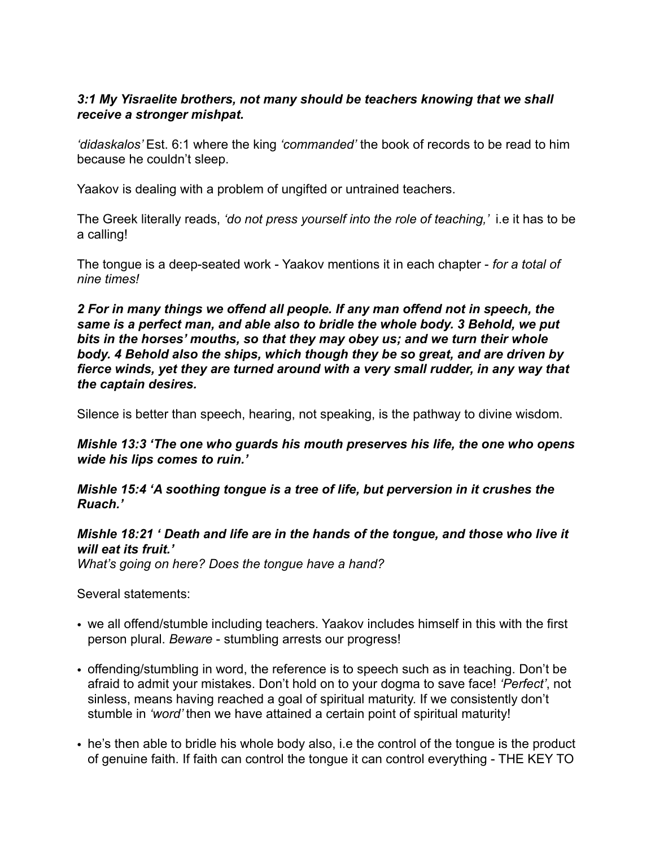## *3:1 My Yisraelite brothers, not many should be teachers knowing that we shall receive a stronger mishpat.*

*'didaskalos'* Est. 6:1 where the king *'commanded'* the book of records to be read to him because he couldn't sleep.

Yaakov is dealing with a problem of ungifted or untrained teachers.

The Greek literally reads, *'do not press yourself into the role of teaching,'* i.e it has to be a calling!

The tongue is a deep-seated work - Yaakov mentions it in each chapter - *for a total of nine times!* 

*2 For in many things we offend all people. If any man offend not in speech, the same is a perfect man, and able also to bridle the whole body. 3 Behold, we put bits in the horses' mouths, so that they may obey us; and we turn their whole body. 4 Behold also the ships, which though they be so great, and are driven by fierce winds, yet they are turned around with a very small rudder, in any way that the captain desires.* 

Silence is better than speech, hearing, not speaking, is the pathway to divine wisdom.

*Mishle 13:3 'The one who guards his mouth preserves his life, the one who opens wide his lips comes to ruin.'* 

*Mishle 15:4 'A soothing tongue is a tree of life, but perversion in it crushes the Ruach.'* 

*Mishle 18:21 ' Death and life are in the hands of the tongue, and those who live it will eat its fruit.'* 

*What's going on here? Does the tongue have a hand?*

Several statements:

- we all offend/stumble including teachers. Yaakov includes himself in this with the first person plural. *Beware* - stumbling arrests our progress!
- offending/stumbling in word, the reference is to speech such as in teaching. Don't be afraid to admit your mistakes. Don't hold on to your dogma to save face! *'Perfect'*, not sinless, means having reached a goal of spiritual maturity. If we consistently don't stumble in *'word'* then we have attained a certain point of spiritual maturity!
- he's then able to bridle his whole body also, i.e the control of the tongue is the product of genuine faith. If faith can control the tongue it can control everything - THE KEY TO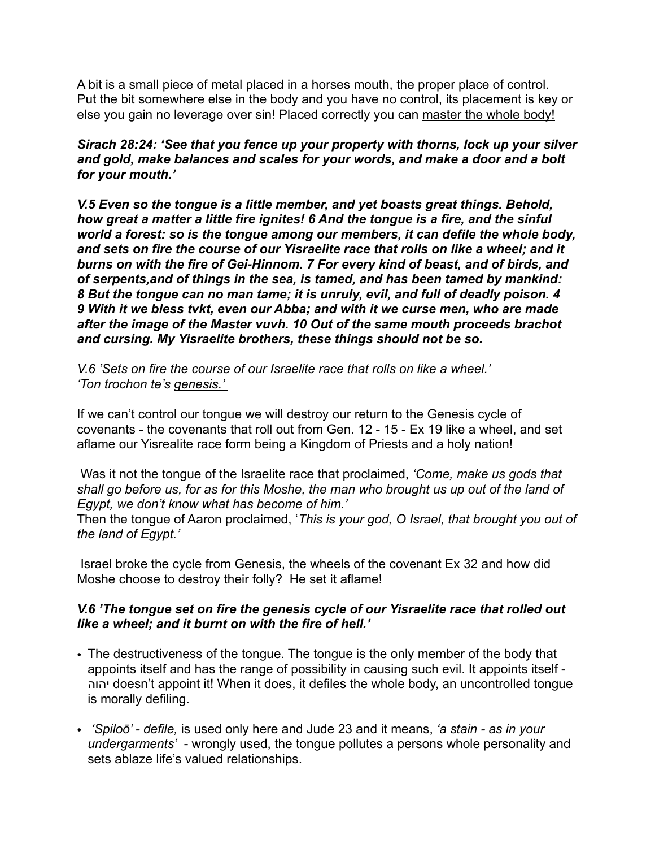A bit is a small piece of metal placed in a horses mouth, the proper place of control. Put the bit somewhere else in the body and you have no control, its placement is key or else you gain no leverage over sin! Placed correctly you can master the whole body!

*Sirach 28:24: 'See that you fence up your property with thorns, lock up your silver and gold, make balances and scales for your words, and make a door and a bolt for your mouth.'* 

*V.5 Even so the tongue is a little member, and yet boasts great things. Behold, how great a matter a little fire ignites! 6 And the tongue is a fire, and the sinful world a forest: so is the tongue among our members, it can defile the whole body, and sets on fire the course of our Yisraelite race that rolls on like a wheel; and it burns on with the fire of Gei-Hinnom. 7 For every kind of beast, and of birds, and of serpents,and of things in the sea, is tamed, and has been tamed by mankind: 8 But the tongue can no man tame; it is unruly, evil, and full of deadly poison. 4 9 With it we bless tvkt, even our Abba; and with it we curse men, who are made after the image of the Master vuvh. 10 Out of the same mouth proceeds brachot and cursing. My Yisraelite brothers, these things should not be so.*

*V.6 'Sets on fire the course of our Israelite race that rolls on like a wheel.' 'Ton trochon te's genesis.'* 

If we can't control our tongue we will destroy our return to the Genesis cycle of covenants - the covenants that roll out from Gen. 12 - 15 - Ex 19 like a wheel, and set aflame our Yisrealite race form being a Kingdom of Priests and a holy nation!

 Was it not the tongue of the Israelite race that proclaimed, *'Come, make us gods that shall go before us, for as for this Moshe, the man who brought us up out of the land of Egypt, we don't know what has become of him.'* 

Then the tongue of Aaron proclaimed, '*This is your god, O Israel, that brought you out of the land of Egypt.'* 

 Israel broke the cycle from Genesis, the wheels of the covenant Ex 32 and how did Moshe choose to destroy their folly? He set it aflame!

## *V.6 'The tongue set on fire the genesis cycle of our Yisraelite race that rolled out like a wheel; and it burnt on with the fire of hell.'*

- The destructiveness of the tongue. The tongue is the only member of the body that appoints itself and has the range of possibility in causing such evil. It appoints itself - יהוה doesn't appoint it! When it does, it defiles the whole body, an uncontrolled tongue is morally defiling.
- *'Spiloō' defile,* is used only here and Jude 23 and it means, *'a stain as in your undergarments'* - wrongly used, the tongue pollutes a persons whole personality and sets ablaze life's valued relationships.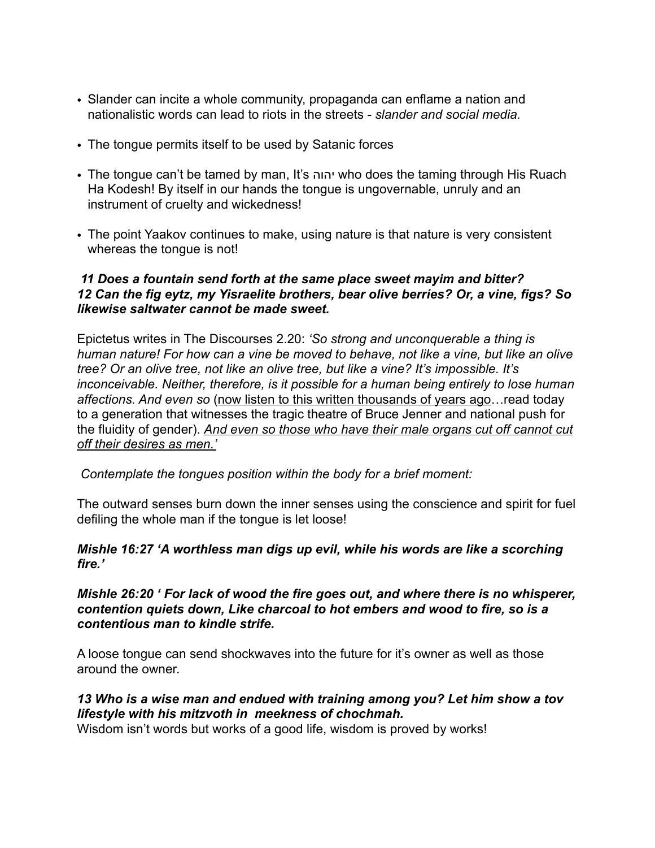- Slander can incite a whole community, propaganda can enflame a nation and nationalistic words can lead to riots in the streets - *slander and social media.*
- The tongue permits itself to be used by Satanic forces
- The tongue can't be tamed by man, It's יהוה who does the taming through His Ruach Ha Kodesh! By itself in our hands the tongue is ungovernable, unruly and an instrument of cruelty and wickedness!
- The point Yaakov continues to make, using nature is that nature is very consistent whereas the tongue is not!

## *11 Does a fountain send forth at the same place sweet mayim and bitter? 12 Can the fig eytz, my Yisraelite brothers, bear olive berries? Or, a vine, figs? So likewise saltwater cannot be made sweet.*

Epictetus writes in The Discourses 2.20: *'So strong and unconquerable a thing is human nature! For how can a vine be moved to behave, not like a vine, but like an olive tree? Or an olive tree, not like an olive tree, but like a vine? It's impossible. It's inconceivable. Neither, therefore, is it possible for a human being entirely to lose human affections. And even so* (now listen to this written thousands of years ago…read today to a generation that witnesses the tragic theatre of Bruce Jenner and national push for the fluidity of gender). *And even so those who have their male organs cut off cannot cut off their desires as men.'* 

*Contemplate the tongues position within the body for a brief moment:* 

The outward senses burn down the inner senses using the conscience and spirit for fuel defiling the whole man if the tongue is let loose!

*Mishle 16:27 'A worthless man digs up evil, while his words are like a scorching fire.'* 

*Mishle 26:20 ' For lack of wood the fire goes out, and where there is no whisperer, contention quiets down, Like charcoal to hot embers and wood to fire, so is a contentious man to kindle strife.* 

A loose tongue can send shockwaves into the future for it's owner as well as those around the owner.

*13 Who is a wise man and endued with training among you? Let him show a tov lifestyle with his mitzvoth in meekness of chochmah.* 

Wisdom isn't words but works of a good life, wisdom is proved by works!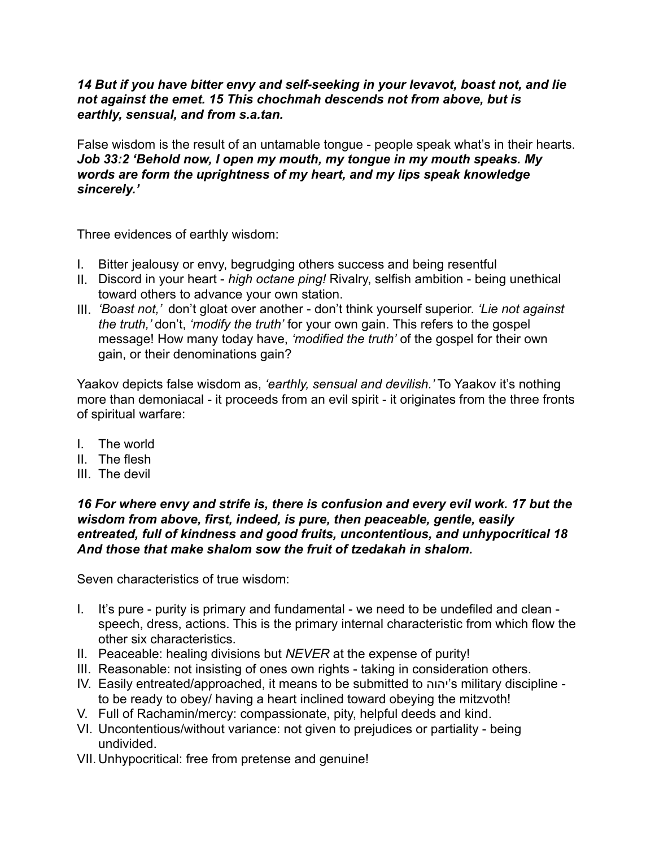### *14 But if you have bitter envy and self-seeking in your levavot, boast not, and lie not against the emet. 15 This chochmah descends not from above, but is earthly, sensual, and from s.a.tan.*

False wisdom is the result of an untamable tongue - people speak what's in their hearts. *Job 33:2 'Behold now, I open my mouth, my tongue in my mouth speaks. My words are form the uprightness of my heart, and my lips speak knowledge sincerely.'* 

Three evidences of earthly wisdom:

- I. Bitter jealousy or envy, begrudging others success and being resentful
- II. Discord in your heart *high octane ping!* Rivalry, selfish ambition being unethical toward others to advance your own station.
- III. *'Boast not,'* don't gloat over another don't think yourself superior. *'Lie not against the truth,'* don't, *'modify the truth'* for your own gain. This refers to the gospel message! How many today have, *'modified the truth'* of the gospel for their own gain, or their denominations gain?

Yaakov depicts false wisdom as, *'earthly, sensual and devilish.'* To Yaakov it's nothing more than demoniacal - it proceeds from an evil spirit - it originates from the three fronts of spiritual warfare:

- I. The world
- II. The flesh
- III. The devil

*16 For where envy and strife is, there is confusion and every evil work. 17 but the wisdom from above, first, indeed, is pure, then peaceable, gentle, easily entreated, full of kindness and good fruits, uncontentious, and unhypocritical 18 And those that make shalom sow the fruit of tzedakah in shalom.* 

Seven characteristics of true wisdom:

- I. It's pure purity is primary and fundamental we need to be undefiled and clean speech, dress, actions. This is the primary internal characteristic from which flow the other six characteristics.
- II. Peaceable: healing divisions but *NEVER* at the expense of purity!
- III. Reasonable: not insisting of ones own rights taking in consideration others.
- IV. Easily entreated/approached, it means to be submitted to יהוה's military discipline to be ready to obey/ having a heart inclined toward obeying the mitzvoth!
- V. Full of Rachamin/mercy: compassionate, pity, helpful deeds and kind.
- VI. Uncontentious/without variance: not given to prejudices or partiality being undivided.
- VII. Unhypocritical: free from pretense and genuine!